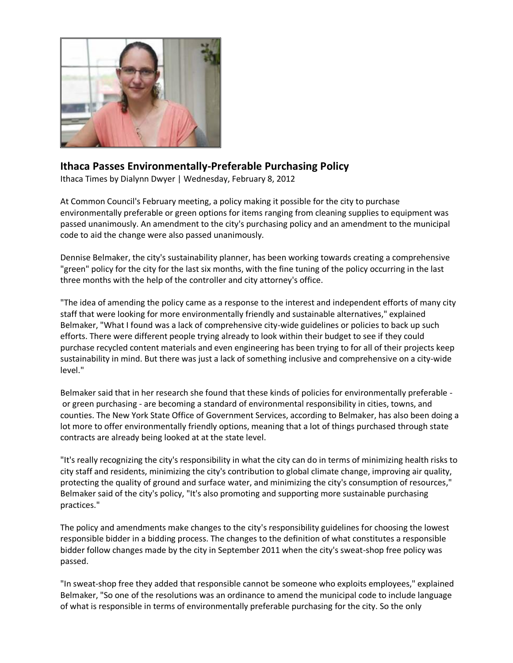

## **[Ithaca Passes Environmentally-Preferable Purchasing Policy](http://www.ithaca.com/)**

Ithaca Times by Dialynn Dwyer | Wednesday, February 8, 2012

At Common Council's February meeting, a policy making it possible for the city to purchase environmentally preferable or green options for items ranging from cleaning supplies to equipment was passed unanimously. An amendment to the city's purchasing policy and an amendment to the municipal code to aid the change were also passed unanimously.

Dennise Belmaker, the city's sustainability planner, has been working towards creating a comprehensive "green" policy for the city for the last six months, with the fine tuning of the policy occurring in the last three months with the help of the controller and city attorney's office.

"The idea of amending the policy came as a response to the interest and independent efforts of many city staff that were looking for more environmentally friendly and sustainable alternatives," explained Belmaker, "What I found was a lack of comprehensive city-wide guidelines or policies to back up such efforts. There were different people trying already to look within their budget to see if they could purchase recycled content materials and even engineering has been trying to for all of their projects keep sustainability in mind. But there was just a lack of something inclusive and comprehensive on a city-wide level."

Belmaker said that in her research she found that these kinds of policies for environmentally preferable or green purchasing - are becoming a standard of environmental responsibility in cities, towns, and counties. The New York State Office of Government Services, according to Belmaker, has also been doing a lot more to offer environmentally friendly options, meaning that a lot of things purchased through state contracts are already being looked at at the state level.

"It's really recognizing the city's responsibility in what the city can do in terms of minimizing health risks to city staff and residents, minimizing the city's contribution to global climate change, improving air quality, protecting the quality of ground and surface water, and minimizing the city's consumption of resources," Belmaker said of the city's policy, "It's also promoting and supporting more sustainable purchasing practices."

The policy and amendments make changes to the city's responsibility guidelines for choosing the lowest responsible bidder in a bidding process. The changes to the definition of what constitutes a responsible bidder follow changes made by the city in September 2011 when the city's sweat-shop free policy was passed.

"In sweat-shop free they added that responsible cannot be someone who exploits employees," explained Belmaker, "So one of the resolutions was an ordinance to amend the municipal code to include language of what is responsible in terms of environmentally preferable purchasing for the city. So the only